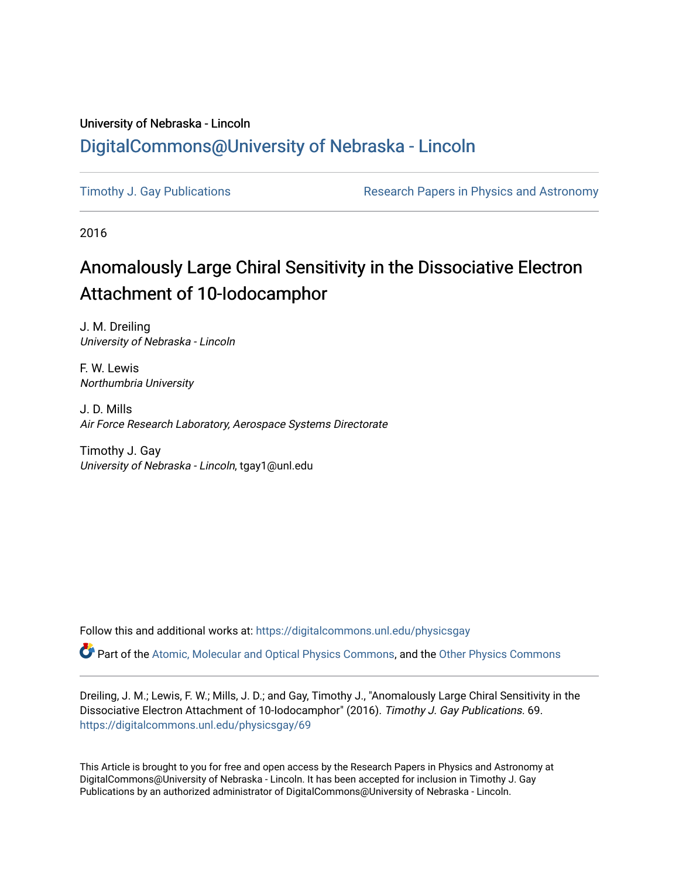## University of Nebraska - Lincoln [DigitalCommons@University of Nebraska - Lincoln](https://digitalcommons.unl.edu/)

[Timothy J. Gay Publications](https://digitalcommons.unl.edu/physicsgay) **Research Papers in Physics and Astronomy** 

2016

## Anomalously Large Chiral Sensitivity in the Dissociative Electron Attachment of 10-Iodocamphor

J. M. Dreiling University of Nebraska - Lincoln

F. W. Lewis Northumbria University

J. D. Mills Air Force Research Laboratory, Aerospace Systems Directorate

Timothy J. Gay University of Nebraska - Lincoln, tgay1@unl.edu

Follow this and additional works at: [https://digitalcommons.unl.edu/physicsgay](https://digitalcommons.unl.edu/physicsgay?utm_source=digitalcommons.unl.edu%2Fphysicsgay%2F69&utm_medium=PDF&utm_campaign=PDFCoverPages)

Part of the [Atomic, Molecular and Optical Physics Commons,](http://network.bepress.com/hgg/discipline/195?utm_source=digitalcommons.unl.edu%2Fphysicsgay%2F69&utm_medium=PDF&utm_campaign=PDFCoverPages) and the [Other Physics Commons](http://network.bepress.com/hgg/discipline/207?utm_source=digitalcommons.unl.edu%2Fphysicsgay%2F69&utm_medium=PDF&utm_campaign=PDFCoverPages) 

Dreiling, J. M.; Lewis, F. W.; Mills, J. D.; and Gay, Timothy J., "Anomalously Large Chiral Sensitivity in the Dissociative Electron Attachment of 10-Iodocamphor" (2016). Timothy J. Gay Publications. 69. [https://digitalcommons.unl.edu/physicsgay/69](https://digitalcommons.unl.edu/physicsgay/69?utm_source=digitalcommons.unl.edu%2Fphysicsgay%2F69&utm_medium=PDF&utm_campaign=PDFCoverPages) 

This Article is brought to you for free and open access by the Research Papers in Physics and Astronomy at DigitalCommons@University of Nebraska - Lincoln. It has been accepted for inclusion in Timothy J. Gay Publications by an authorized administrator of DigitalCommons@University of Nebraska - Lincoln.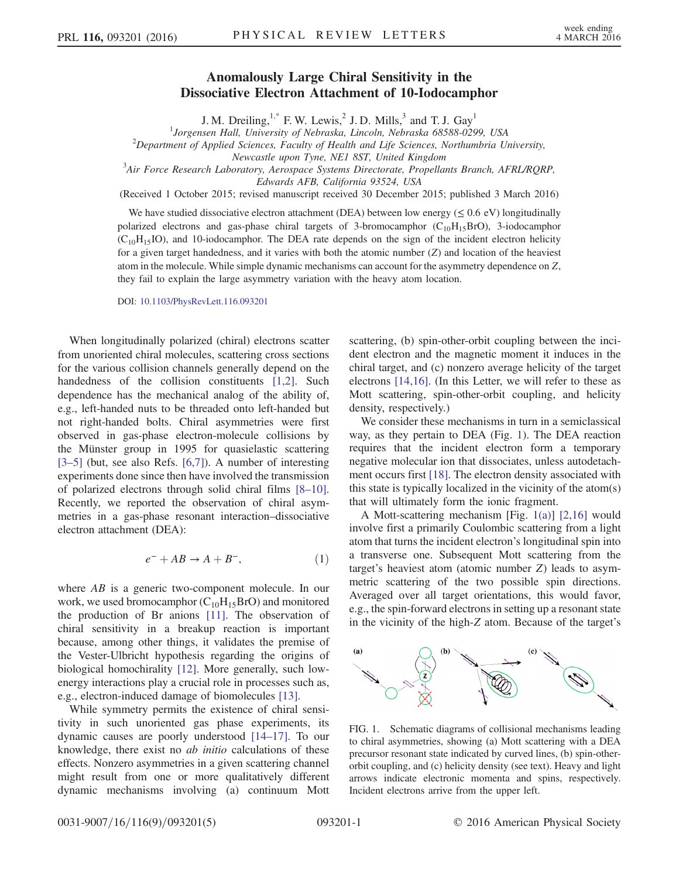## Anomalously Large Chiral Sensitivity in the Dissociative Electron Attachment of 10-Iodocamphor

J. M. Dreiling, $1$ <sup>\*</sup> F. W. Lewis,<sup>2</sup> J. D. Mills,<sup>3</sup> and T. J. Gay<sup>1</sup>

<span id="page-1-1"></span><sup>1</sup>Jorgensen Hall, University of Nebraska, Lincoln, Nebraska 68588-0299, USA<br><sup>2</sup>Department of Applied Sciences, Equilized Health and Life Sciences, Northumbria Us

 $2$ Department of Applied Sciences, Faculty of Health and Life Sciences, Northumbria University,

Newcastle upon Tyne, NE1 8ST, United Kingdom<br><sup>3</sup>Air Force Research Laboratory, Aerospace Systems Directorate, Propellants Branch, AFRL/RQRP,

Edwards AFB, California 93524, USA

(Received 1 October 2015; revised manuscript received 30 December 2015; published 3 March 2016)

We have studied dissociative electron attachment (DEA) between low energy ( $\leq 0.6$  eV) longitudinally polarized electrons and gas-phase chiral targets of 3-bromocamphor  $(C_{10}H_{15}BrO)$ , 3-iodocamphor  $(C_{10}H_{15}IO)$ , and 10-iodocamphor. The DEA rate depends on the sign of the incident electron helicity for a given target handedness, and it varies with both the atomic number  $(Z)$  and location of the heaviest atom in the molecule. While simple dynamic mechanisms can account for the asymmetry dependence on Z, they fail to explain the large asymmetry variation with the heavy atom location.

DOI: [10.1103/PhysRevLett.116.093201](http://dx.doi.org/10.1103/PhysRevLett.116.093201)

When longitudinally polarized (chiral) electrons scatter from unoriented chiral molecules, scattering cross sections for the various collision channels generally depend on the handedness of the collision constituents [\[1,2\].](#page-5-1) Such dependence has the mechanical analog of the ability of, e.g., left-handed nuts to be threaded onto left-handed but not right-handed bolts. Chiral asymmetries were first observed in gas-phase electron-molecule collisions by the Münster group in 1995 for quasielastic scattering [\[3](#page-5-2)–5] (but, see also Refs. [\[6,7\]](#page-5-3)). A number of interesting experiments done since then have involved the transmission of polarized electrons through solid chiral films [8–[10\]](#page-5-4). Recently, we reported the observation of chiral asymmetries in a gas-phase resonant interaction–dissociative electron attachment (DEA):

$$
e^- + AB \to A + B^-, \tag{1}
$$

where AB is a generic two-component molecule. In our work, we used bromocamphor  $(C_{10}H_{15}BrO)$  and monitored the production of Br anions [\[11\]](#page-5-5). The observation of chiral sensitivity in a breakup reaction is important because, among other things, it validates the premise of the Vester-Ulbricht hypothesis regarding the origins of biological homochirality [\[12\]](#page-5-6). More generally, such lowenergy interactions play a crucial role in processes such as, e.g., electron-induced damage of biomolecules [\[13\].](#page-5-7)

While symmetry permits the existence of chiral sensitivity in such unoriented gas phase experiments, its dynamic causes are poorly understood [\[14](#page-5-8)–17]. To our knowledge, there exist no *ab initio* calculations of these effects. Nonzero asymmetries in a given scattering channel might result from one or more qualitatively different dynamic mechanisms involving (a) continuum Mott

scattering, (b) spin-other-orbit coupling between the incident electron and the magnetic moment it induces in the chiral target, and (c) nonzero average helicity of the target electrons [\[14,16\]](#page-5-8). (In this Letter, we will refer to these as Mott scattering, spin-other-orbit coupling, and helicity density, respectively.)

We consider these mechanisms in turn in a semiclassical way, as they pertain to DEA (Fig. [1](#page-1-0)). The DEA reaction requires that the incident electron form a temporary negative molecular ion that dissociates, unless autodetachment occurs first [\[18\]](#page-5-9). The electron density associated with this state is typically localized in the vicinity of the atom(s) that will ultimately form the ionic fragment.

A Mott-scattering mechanism [Fig. [1\(a\)](#page-1-0)] [\[2,16\]](#page-5-10) would involve first a primarily Coulombic scattering from a light atom that turns the incident electron's longitudinal spin into a transverse one. Subsequent Mott scattering from the target's heaviest atom (atomic number Z) leads to asymmetric scattering of the two possible spin directions. Averaged over all target orientations, this would favor, e.g., the spin-forward electrons in setting up a resonant state in the vicinity of the high-Z atom. Because of the target's

<span id="page-1-0"></span>

FIG. 1. Schematic diagrams of collisional mechanisms leading to chiral asymmetries, showing (a) Mott scattering with a DEA precursor resonant state indicated by curved lines, (b) spin-otherorbit coupling, and (c) helicity density (see text). Heavy and light arrows indicate electronic momenta and spins, respectively. Incident electrons arrive from the upper left.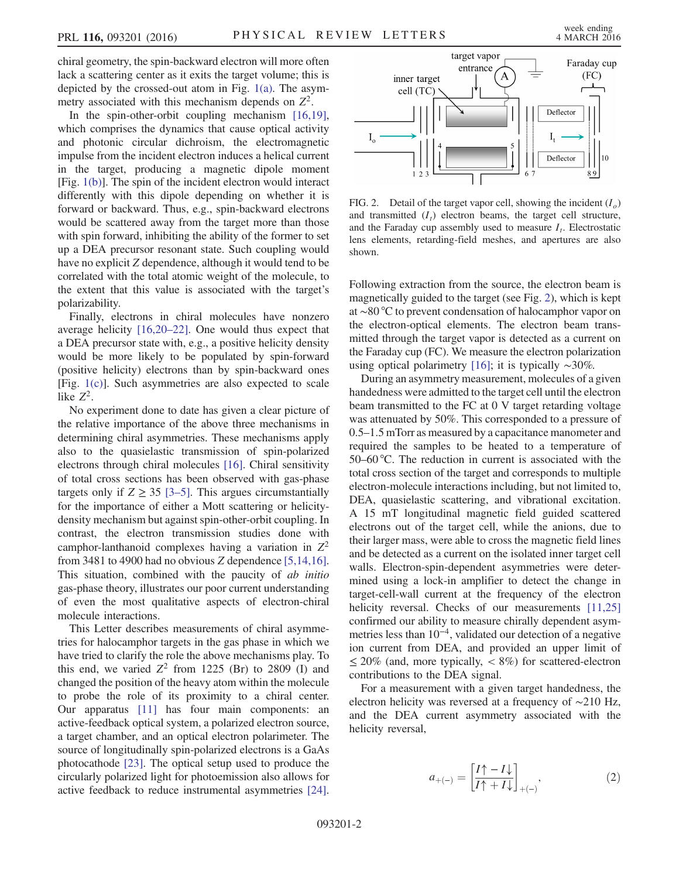chiral geometry, the spin-backward electron will more often lack a scattering center as it exits the target volume; this is depicted by the crossed-out atom in Fig. [1\(a\).](#page-1-0) The asymmetry associated with this mechanism depends on  $Z^2$ .

In the spin-other-orbit coupling mechanism [\[16,19\]](#page-5-11), which comprises the dynamics that cause optical activity and photonic circular dichroism, the electromagnetic impulse from the incident electron induces a helical current in the target, producing a magnetic dipole moment [Fig. [1\(b\)\]](#page-1-0). The spin of the incident electron would interact differently with this dipole depending on whether it is forward or backward. Thus, e.g., spin-backward electrons would be scattered away from the target more than those with spin forward, inhibiting the ability of the former to set up a DEA precursor resonant state. Such coupling would have no explicit Z dependence, although it would tend to be correlated with the total atomic weight of the molecule, to the extent that this value is associated with the target's polarizability.

Finally, electrons in chiral molecules have nonzero average helicity [\[16,20](#page-5-11)–22]. One would thus expect that a DEA precursor state with, e.g., a positive helicity density would be more likely to be populated by spin-forward (positive helicity) electrons than by spin-backward ones [Fig. [1\(c\)\]](#page-1-0). Such asymmetries are also expected to scale like  $Z^2$ .

No experiment done to date has given a clear picture of the relative importance of the above three mechanisms in determining chiral asymmetries. These mechanisms apply also to the quasielastic transmission of spin-polarized electrons through chiral molecules [\[16\].](#page-5-11) Chiral sensitivity of total cross sections has been observed with gas-phase targets only if  $Z \geq 35$  [\[3](#page-5-2)–5]. This argues circumstantially for the importance of either a Mott scattering or helicitydensity mechanism but against spin-other-orbit coupling. In contrast, the electron transmission studies done with camphor-lanthanoid complexes having a variation in  $Z^2$ from 3481 to 4900 had no obvious Z dependence [\[5,14,16\]](#page-5-12). This situation, combined with the paucity of *ab initio* gas-phase theory, illustrates our poor current understanding of even the most qualitative aspects of electron-chiral molecule interactions.

This Letter describes measurements of chiral asymmetries for halocamphor targets in the gas phase in which we have tried to clarify the role the above mechanisms play. To this end, we varied  $Z^2$  from 1225 (Br) to 2809 (I) and changed the position of the heavy atom within the molecule to probe the role of its proximity to a chiral center. Our apparatus [\[11\]](#page-5-5) has four main components: an active-feedback optical system, a polarized electron source, a target chamber, and an optical electron polarimeter. The source of longitudinally spin-polarized electrons is a GaAs photocathode [\[23\]](#page-5-13). The optical setup used to produce the circularly polarized light for photoemission also allows for active feedback to reduce instrumental asymmetries [\[24\]](#page-5-14).

<span id="page-2-0"></span>

FIG. 2. Detail of the target vapor cell, showing the incident  $(I_0)$ and transmitted  $(I_t)$  electron beams, the target cell structure, and the Faraday cup assembly used to measure  $I_t$ . Electrostatic lens elements, retarding-field meshes, and apertures are also shown.

Following extraction from the source, the electron beam is magnetically guided to the target (see Fig. [2](#page-2-0)), which is kept at ∼80 °C to prevent condensation of halocamphor vapor on the electron-optical elements. The electron beam transmitted through the target vapor is detected as a current on the Faraday cup (FC). We measure the electron polarization using optical polarimetry [\[16\]](#page-5-11); it is typically ∼30%.

During an asymmetry measurement, molecules of a given handedness were admitted to the target cell until the electron beam transmitted to the FC at 0 V target retarding voltage was attenuated by 50%. This corresponded to a pressure of 0.5–1.5 mTorr as measured by a capacitance manometer and required the samples to be heated to a temperature of 50–60 °C. The reduction in current is associated with the total cross section of the target and corresponds to multiple electron-molecule interactions including, but not limited to, DEA, quasielastic scattering, and vibrational excitation. A 15 mT longitudinal magnetic field guided scattered electrons out of the target cell, while the anions, due to their larger mass, were able to cross the magnetic field lines and be detected as a current on the isolated inner target cell walls. Electron-spin-dependent asymmetries were determined using a lock-in amplifier to detect the change in target-cell-wall current at the frequency of the electron helicity reversal. Checks of our measurements [\[11,25\]](#page-5-5) confirmed our ability to measure chirally dependent asymmetries less than 10<sup>−</sup><sup>4</sup>, validated our detection of a negative ion current from DEA, and provided an upper limit of  $\leq$  20% (and, more typically,  $\lt$  8%) for scattered-electron contributions to the DEA signal.

For a measurement with a given target handedness, the electron helicity was reversed at a frequency of ∼210 Hz, and the DEA current asymmetry associated with the helicity reversal,

$$
a_{+(-)} = \left[\frac{I\uparrow - I\downarrow}{I\uparrow + I\downarrow}\right]_{+(-)},\tag{2}
$$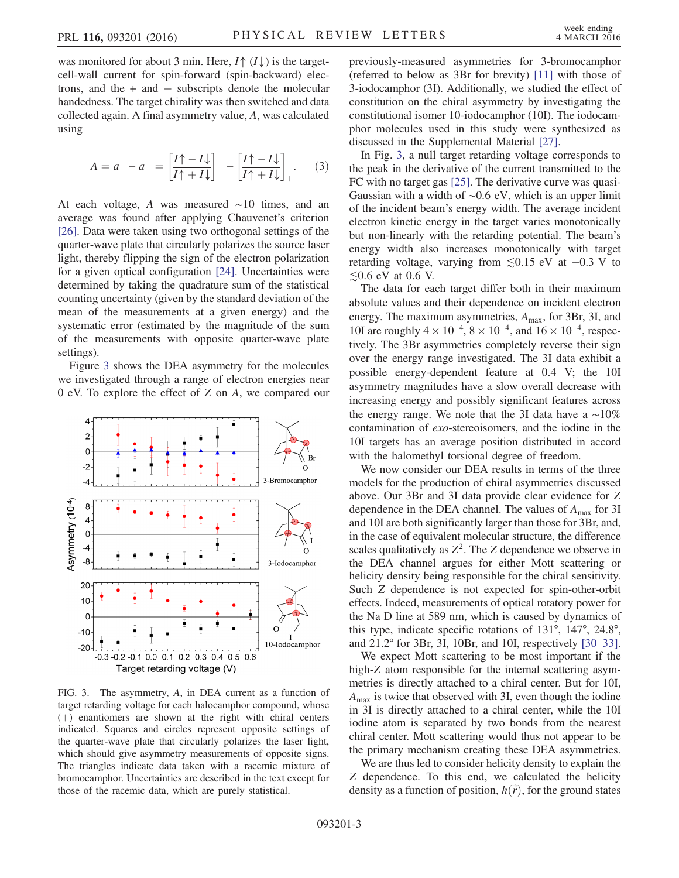was monitored for about 3 min. Here,  $I \uparrow (I \downarrow)$  is the targetcell-wall current for spin-forward (spin-backward) electrons, and the + and − subscripts denote the molecular handedness. The target chirality was then switched and data collected again. A final asymmetry value, A, was calculated using

$$
A = a_{-} - a_{+} = \left[\frac{I\uparrow - I\downarrow}{I\uparrow + I\downarrow}\right]_{-} - \left[\frac{I\uparrow - I\downarrow}{I\uparrow + I\downarrow}\right]_{+}.
$$
 (3)

At each voltage, A was measured ∼10 times, and an average was found after applying Chauvenet's criterion [\[26\]](#page-5-15). Data were taken using two orthogonal settings of the quarter-wave plate that circularly polarizes the source laser light, thereby flipping the sign of the electron polarization for a given optical configuration [\[24\].](#page-5-14) Uncertainties were determined by taking the quadrature sum of the statistical counting uncertainty (given by the standard deviation of the mean of the measurements at a given energy) and the systematic error (estimated by the magnitude of the sum of the measurements with opposite quarter-wave plate settings).

Figure [3](#page-3-0) shows the DEA asymmetry for the molecules we investigated through a range of electron energies near 0 eV. To explore the effect of Z on A, we compared our

<span id="page-3-0"></span>

FIG. 3. The asymmetry, A, in DEA current as a function of target retarding voltage for each halocamphor compound, whose  $(+)$  enantiomers are shown at the right with chiral centers indicated. Squares and circles represent opposite settings of the quarter-wave plate that circularly polarizes the laser light, which should give asymmetry measurements of opposite signs. The triangles indicate data taken with a racemic mixture of bromocamphor. Uncertainties are described in the text except for those of the racemic data, which are purely statistical.

previously-measured asymmetries for 3-bromocamphor (referred to below as 3Br for brevity) [\[11\]](#page-5-5) with those of 3-iodocamphor (3I). Additionally, we studied the effect of constitution on the chiral asymmetry by investigating the constitutional isomer 10-iodocamphor (10I). The iodocamphor molecules used in this study were synthesized as discussed in the Supplemental Material [\[27\]](#page-5-16).

In Fig. [3,](#page-3-0) a null target retarding voltage corresponds to the peak in the derivative of the current transmitted to the FC with no target gas [\[25\].](#page-5-17) The derivative curve was quasi-Gaussian with a width of ∼0.6 eV, which is an upper limit of the incident beam's energy width. The average incident electron kinetic energy in the target varies monotonically but non-linearly with the retarding potential. The beam's energy width also increases monotonically with target retarding voltage, varying from ≲0.15 eV at −0.3 V to  $≤0.6$  eV at 0.6 V.

The data for each target differ both in their maximum absolute values and their dependence on incident electron energy. The maximum asymmetries,  $A_{\text{max}}$ , for 3Br, 3I, and 10I are roughly  $4 \times 10^{-4}$ ,  $8 \times 10^{-4}$ , and  $16 \times 10^{-4}$ , respectively. The 3Br asymmetries completely reverse their sign over the energy range investigated. The 3I data exhibit a possible energy-dependent feature at 0.4 V; the 10I asymmetry magnitudes have a slow overall decrease with increasing energy and possibly significant features across the energy range. We note that the 3I data have a ∼10% contamination of exo-stereoisomers, and the iodine in the 10I targets has an average position distributed in accord with the halomethyl torsional degree of freedom.

We now consider our DEA results in terms of the three models for the production of chiral asymmetries discussed above. Our 3Br and 3I data provide clear evidence for Z dependence in the DEA channel. The values of  $A_{\text{max}}$  for 3I and 10I are both significantly larger than those for 3Br, and, in the case of equivalent molecular structure, the difference scales qualitatively as  $Z^2$ . The Z dependence we observe in the DEA channel argues for either Mott scattering or helicity density being responsible for the chiral sensitivity. Such Z dependence is not expected for spin-other-orbit effects. Indeed, measurements of optical rotatory power for the Na D line at 589 nm, which is caused by dynamics of this type, indicate specific rotations of 131°, 147°, 24.8°, and 21.2° for 3Br, 3I, 10Br, and 10I, respectively [\[30](#page-5-18)–33].

We expect Mott scattering to be most important if the high-Z atom responsible for the internal scattering asymmetries is directly attached to a chiral center. But for 10I,  $A_{\text{max}}$  is twice that observed with 3I, even though the iodine in 3I is directly attached to a chiral center, while the 10I iodine atom is separated by two bonds from the nearest chiral center. Mott scattering would thus not appear to be the primary mechanism creating these DEA asymmetries.

We are thus led to consider helicity density to explain the Z dependence. To this end, we calculated the helicity density as a function of position,  $h(\vec{r})$ , for the ground states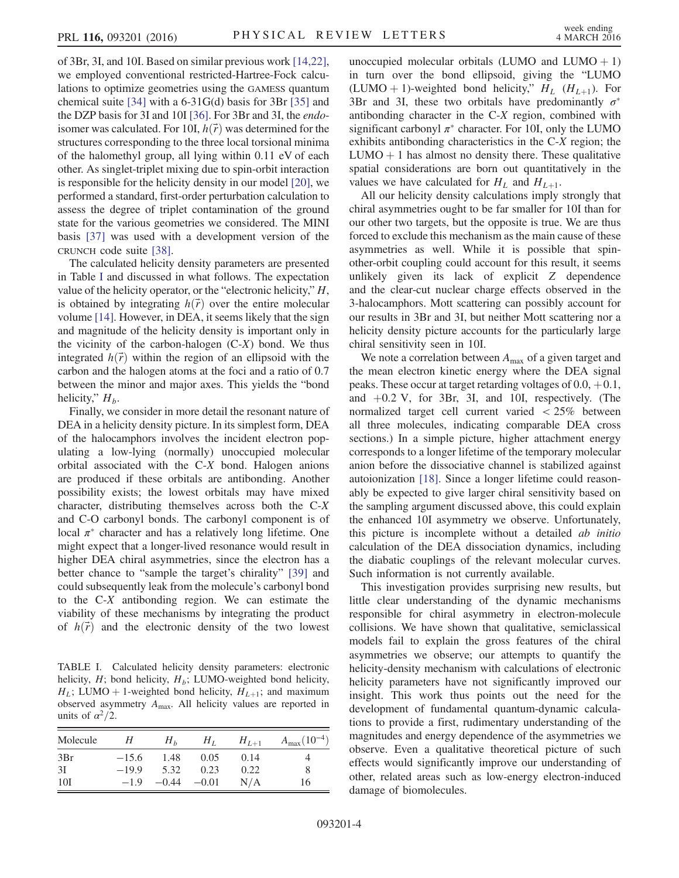of 3Br, 3I, and 10I. Based on similar previous work [\[14,22\]](#page-5-8), we employed conventional restricted-Hartree-Fock calculations to optimize geometries using the GAMESS quantum chemical suite [\[34\]](#page-5-19) with a 6-31G(d) basis for 3Br [\[35\]](#page-5-20) and the DZP basis for 3I and 10I [\[36\].](#page-5-21) For 3Br and 3I, the endoisomer was calculated. For 10I,  $h(\vec{r})$  was determined for the structures corresponding to the three local torsional minima of the halomethyl group, all lying within 0.11 eV of each other. As singlet-triplet mixing due to spin-orbit interaction is responsible for the helicity density in our model [\[20\],](#page-5-22) we performed a standard, first-order perturbation calculation to assess the degree of triplet contamination of the ground state for the various geometries we considered. The MINI basis [\[37\]](#page-5-23) was used with a development version of the CRUNCH code suite [\[38\]](#page-5-24).

The calculated helicity density parameters are presented in Table [I](#page-4-0) and discussed in what follows. The expectation value of the helicity operator, or the "electronic helicity," H, is obtained by integrating  $h(\vec{r})$  over the entire molecular volume [\[14\].](#page-5-8) However, in DEA, it seems likely that the sign and magnitude of the helicity density is important only in the vicinity of the carbon-halogen  $(C-X)$  bond. We thus integrated  $h(\vec{r})$  within the region of an ellipsoid with the carbon and the halogen atoms at the foci and a ratio of 0.7 between the minor and major axes. This yields the "bond helicity,"  $H_b$ .

Finally, we consider in more detail the resonant nature of DEA in a helicity density picture. In its simplest form, DEA of the halocamphors involves the incident electron populating a low-lying (normally) unoccupied molecular orbital associated with the C-X bond. Halogen anions are produced if these orbitals are antibonding. Another possibility exists; the lowest orbitals may have mixed character, distributing themselves across both the C-X and C-O carbonyl bonds. The carbonyl component is of local  $\pi^*$  character and has a relatively long lifetime. One might expect that a longer-lived resonance would result in higher DEA chiral asymmetries, since the electron has a better chance to "sample the target's chirality" [\[39\]](#page-5-25) and could subsequently leak from the molecule's carbonyl bond to the C-X antibonding region. We can estimate the viability of these mechanisms by integrating the product of  $h(\vec{r})$  and the electronic density of the two lowest

<span id="page-4-0"></span>TABLE I. Calculated helicity density parameters: electronic helicity,  $H$ ; bond helicity,  $H_b$ ; LUMO-weighted bond helicity,  $H_L$ ; LUMO + 1-weighted bond helicity,  $H_{L+1}$ ; and maximum observed asymmetry  $A_{\text{max}}$ . All helicity values are reported in units of  $\alpha^2/2$ .

| Molecule | Η       | $H_h$   | $H_{L}$ | $H_{L+1}$ | $A_{\text{max}}(10^{-4})$ |
|----------|---------|---------|---------|-----------|---------------------------|
| 3Br      | $-15.6$ | 1.48    | 0.05    | 0.14      |                           |
| 3I       | $-19.9$ | 5.32    | 0.23    | 0.22      |                           |
| 10I      | $-1.9$  | $-0.44$ | $-0.01$ | N/A       | 16                        |

unoccupied molecular orbitals (LUMO and LUMO  $+1$ ) in turn over the bond ellipsoid, giving the "LUMO (LUMO + 1)-weighted bond helicity,"  $H_L$  ( $H_{L+1}$ ). For 3Br and 3I, these two orbitals have predominantly  $\sigma^*$ antibonding character in the C-X region, combined with significant carbonyl  $\pi^*$  character. For 10I, only the LUMO exhibits antibonding characteristics in the C-X region; the  $LUMO + 1$  has almost no density there. These qualitative spatial considerations are born out quantitatively in the values we have calculated for  $H_L$  and  $H_{L+1}$ .

All our helicity density calculations imply strongly that chiral asymmetries ought to be far smaller for 10I than for our other two targets, but the opposite is true. We are thus forced to exclude this mechanism as the main cause of these asymmetries as well. While it is possible that spinother-orbit coupling could account for this result, it seems unlikely given its lack of explicit Z dependence and the clear-cut nuclear charge effects observed in the 3-halocamphors. Mott scattering can possibly account for our results in 3Br and 3I, but neither Mott scattering nor a helicity density picture accounts for the particularly large chiral sensitivity seen in 10I.

We note a correlation between  $A_{\text{max}}$  of a given target and the mean electron kinetic energy where the DEA signal peaks. These occur at target retarding voltages of  $0.0, +0.1$ , and  $+0.2$  V, for 3Br, 3I, and 10I, respectively. (The normalized target cell current varied < 25% between all three molecules, indicating comparable DEA cross sections.) In a simple picture, higher attachment energy corresponds to a longer lifetime of the temporary molecular anion before the dissociative channel is stabilized against autoionization [\[18\]](#page-5-9). Since a longer lifetime could reasonably be expected to give larger chiral sensitivity based on the sampling argument discussed above, this could explain the enhanced 10I asymmetry we observe. Unfortunately, this picture is incomplete without a detailed ab initio calculation of the DEA dissociation dynamics, including the diabatic couplings of the relevant molecular curves. Such information is not currently available.

This investigation provides surprising new results, but little clear understanding of the dynamic mechanisms responsible for chiral asymmetry in electron-molecule collisions. We have shown that qualitative, semiclassical models fail to explain the gross features of the chiral asymmetries we observe; our attempts to quantify the helicity-density mechanism with calculations of electronic helicity parameters have not significantly improved our insight. This work thus points out the need for the development of fundamental quantum-dynamic calculations to provide a first, rudimentary understanding of the magnitudes and energy dependence of the asymmetries we observe. Even a qualitative theoretical picture of such effects would significantly improve our understanding of other, related areas such as low-energy electron-induced damage of biomolecules.